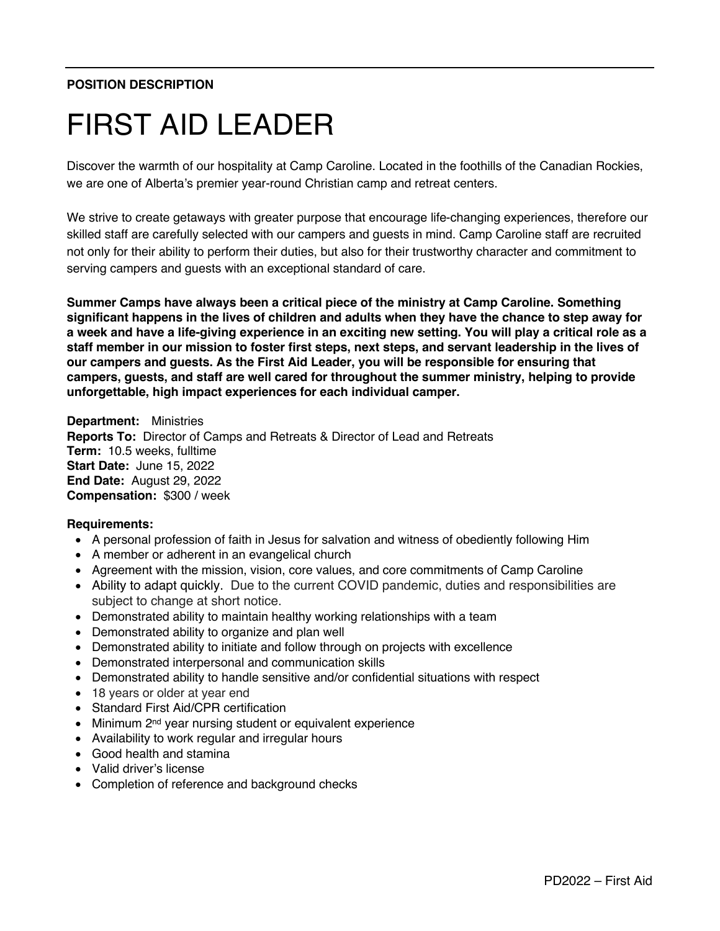# **POSITION DESCRIPTION**

# FIRST AID LEADER

Discover the warmth of our hospitality at Camp Caroline. Located in the foothills of the Canadian Rockies, we are one of Alberta's premier year-round Christian camp and retreat centers.

We strive to create getaways with greater purpose that encourage life-changing experiences, therefore our skilled staff are carefully selected with our campers and guests in mind. Camp Caroline staff are recruited not only for their ability to perform their duties, but also for their trustworthy character and commitment to serving campers and guests with an exceptional standard of care.

**Summer Camps have always been a critical piece of the ministry at Camp Caroline. Something significant happens in the lives of children and adults when they have the chance to step away for a week and have a life-giving experience in an exciting new setting. You will play a critical role as a staff member in our mission to foster first steps, next steps, and servant leadership in the lives of our campers and guests. As the First Aid Leader, you will be responsible for ensuring that campers, guests, and staff are well cared for throughout the summer ministry, helping to provide unforgettable, high impact experiences for each individual camper.**

**Department:** Ministries **Reports To:** Director of Camps and Retreats & Director of Lead and Retreats **Term:** 10.5 weeks, fulltime **Start Date:** June 15, 2022 **End Date:** August 29, 2022 **Compensation:** \$300 / week

#### **Requirements:**

- A personal profession of faith in Jesus for salvation and witness of obediently following Him
- A member or adherent in an evangelical church
- Agreement with the mission, vision, core values, and core commitments of Camp Caroline
- Ability to adapt quickly. Due to the current COVID pandemic, duties and responsibilities are subject to change at short notice.
- Demonstrated ability to maintain healthy working relationships with a team
- Demonstrated ability to organize and plan well
- Demonstrated ability to initiate and follow through on projects with excellence
- Demonstrated interpersonal and communication skills
- Demonstrated ability to handle sensitive and/or confidential situations with respect
- 18 years or older at year end
- Standard First Aid/CPR certification
- Minimum 2<sup>nd</sup> year nursing student or equivalent experience
- Availability to work regular and irregular hours
- Good health and stamina
- Valid driver's license
- Completion of reference and background checks